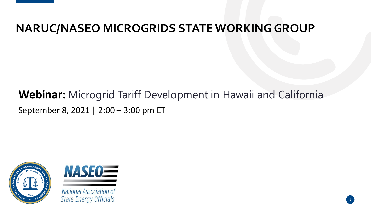### **NARUC/NASEO MICROGRIDS STATE WORKING GROUP**

### **Webinar:** Microgrid Tariff Development in Hawaii and California September 8, 2021 | 2:00 – 3:00 pm ET





National Association of **State Energy Officials**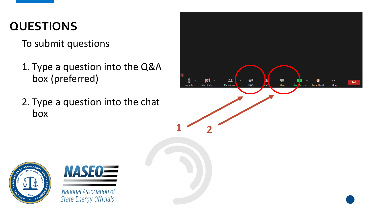### **QUESTIONS**

To submit questions

- 1. Type a question into the Q&A box (preferred)
- 2. Type a question into the chat box

**NASE0=** 

National Association of

**State Energy Officials** 

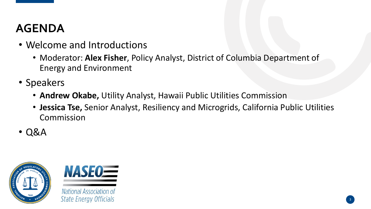### **AGENDA**

- Welcome and Introductions
	- Moderator: **Alex Fisher**, Policy Analyst, District of Columbia Department of Energy and Environment
- Speakers
	- **Andrew Okabe,** Utility Analyst, Hawaii Public Utilities Commission
	- **Jessica Tse,** Senior Analyst, Resiliency and Microgrids, California Public Utilities Commission
- Q&A





National Association of **State Energy Officials**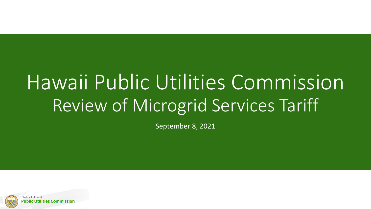# Hawaii Public Utilities Commission Review of Microgrid Services Tariff

September 8, 2021

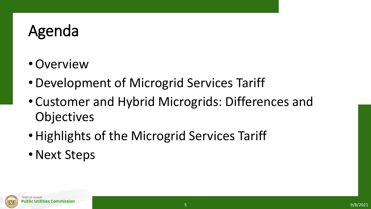# Agenda

- •Overview
- •Development of Microgrid Services Tariff
- Customer and Hybrid Microgrids: Differences and **Objectives**
- Highlights of the Microgrid Services Tariff
- Next Steps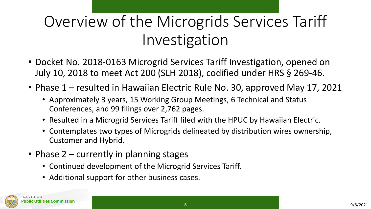# Overview of the Microgrids Services Tariff Investigation

- Docket No. 2018-0163 Microgrid Services Tariff Investigation, opened on July 10, 2018 to meet Act 200 (SLH 2018), codified under HRS § 269-46.
- Phase 1 resulted in Hawaiian Electric Rule No. 30, approved May 17, 2021
	- Approximately 3 years, 15 Working Group Meetings, 6 Technical and Status Conferences, and 99 filings over 2,762 pages.
	- Resulted in a Microgrid Services Tariff filed with the HPUC by Hawaiian Electric.
	- Contemplates two types of Microgrids delineated by distribution wires ownership, Customer and Hybrid.
- Phase 2 currently in planning stages
	- Continued development of the Microgrid Services Tariff.
	- Additional support for other business cases.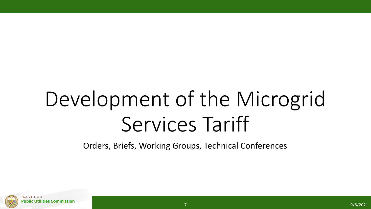# Development of the Microgrid Services Tariff

Orders, Briefs, Working Groups, Technical Conferences

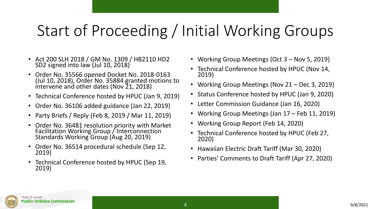# Start of Proceeding / Initial Working Groups

- Act 200 SLH 2018 / GM No. 1309 / HB2110 HD2 SD2 signed into law (Jul 10, 2018)
- Order No. 35566 opened Docket No. 2018-0163 (Jul 10, 2018), Order No. 35884 granted motions to intervene and other dates (Nov 21, 2018)
- Technical Conference hosted by HPUC (Jan 9, 2019)
- Order No. 36106 added guidance (Jan 22, 2019)
- Party Briefs / Reply (Feb 8, 2019 / Mar 11, 2019)
- Order No. 36481 resolution priority with Market Facilitation Working Group / Interconnection Standards Working Group (Aug 20, 2019)
- Order No. 36514 procedural schedule (Sep 12, 2019)
- Technical Conference hosted by HPUC (Sep 19, 2019)
- Working Group Meetings (Oct 3 Nov 5, 2019)
- Technical Conference hosted by HPUC (Nov 14, 2019)
- Working Group Meetings (Nov 21 Dec 3, 2019)
- Status Conference hosted by HPUC (Jan 9, 2020)
- Letter Commission Guidance (Jan 16, 2020)
- Working Group Meetings (Jan 17 Feb 11, 2019)
- Working Group Report (Feb 14, 2020)
- Technical Conference hosted by HPUC (Feb 27, 2020)
- Hawaiian Electric Draft Tariff (Mar 30, 2020)
- Parties' Comments to Draft Tariff (Apr 27, 2020)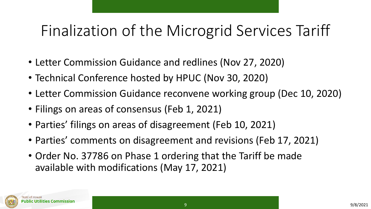# Finalization of the Microgrid Services Tariff

- Letter Commission Guidance and redlines (Nov 27, 2020)
- Technical Conference hosted by HPUC (Nov 30, 2020)
- Letter Commission Guidance reconvene working group (Dec 10, 2020)
- Filings on areas of consensus (Feb 1, 2021)
- Parties' filings on areas of disagreement (Feb 10, 2021)
- Parties' comments on disagreement and revisions (Feb 17, 2021)
- Order No. 37786 on Phase 1 ordering that the Tariff be made available with modifications (May 17, 2021)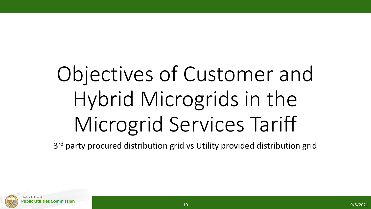# Objectives of Customer and Hybrid Microgrids in the Microgrid Services Tariff

3<sup>rd</sup> party procured distribution grid vs Utility provided distribution grid

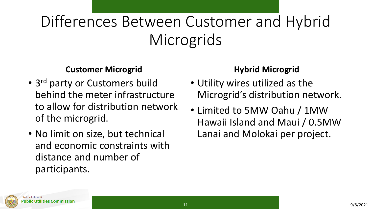# Differences Between Customer and Hybrid **Microgrids**

#### **Customer Microgrid**

- 3<sup>rd</sup> party or Customers build behind the meter infrastructure to allow for distribution network of the microgrid.
- No limit on size, but technical and economic constraints with distance and number of participants.

#### **Hybrid Microgrid**

- Utility wires utilized as the Microgrid's distribution network.
- Limited to 5MW Oahu / 1MW Hawaii Island and Maui / 0.5MW Lanai and Molokai per project.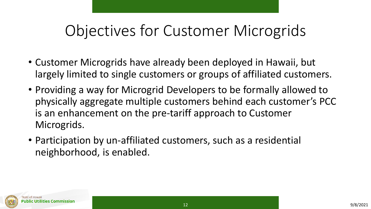# Objectives for Customer Microgrids

- Customer Microgrids have already been deployed in Hawaii, but largely limited to single customers or groups of affiliated customers.
- Providing a way for Microgrid Developers to be formally allowed to physically aggregate multiple customers behind each customer's PCC is an enhancement on the pre-tariff approach to Customer Microgrids.
- Participation by un-affiliated customers, such as a residential neighborhood, is enabled.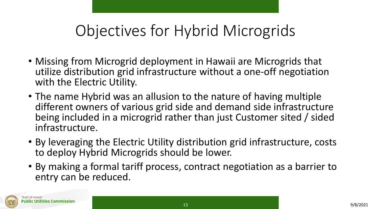# Objectives for Hybrid Microgrids

- Missing from Microgrid deployment in Hawaii are Microgrids that utilize distribution grid infrastructure without a one-off negotiation with the Electric Utility.
- The name Hybrid was an allusion to the nature of having multiple different owners of various grid side and demand side infrastructure being included in a microgrid rather than just Customer sited / sided infrastructure.
- By leveraging the Electric Utility distribution grid infrastructure, costs to deploy Hybrid Microgrids should be lower.
- By making a formal tariff process, contract negotiation as a barrier to entry can be reduced.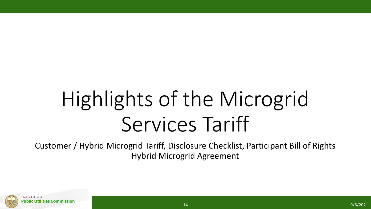# Highlights of the Microgrid Services Tariff

Customer / Hybrid Microgrid Tariff, Disclosure Checklist, Participant Bill of Rights Hybrid Microgrid Agreement

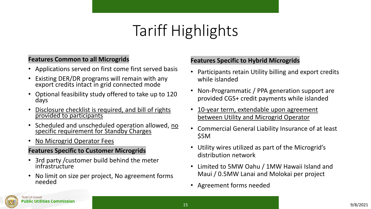# Tariff Highlights

#### **Features Common to all Microgrids**

- Applications served on first come first served basis
- Existing DER/DR programs will remain with any export credits intact in grid connected mode
- Optional feasibility study offered to take up to 120 days
- Disclosure checklist is required, and bill of rights provided to participants
- Scheduled and unscheduled operation allowed, no specific requirement for Standby Charges
- No Microgrid Operator Fees

#### **Features Specific to Customer Microgrids**

- 3rd party /customer build behind the meter infrastructure
- No limit on size per project, No agreement forms needed

#### **Features Specific to Hybrid Microgrids**

- Participants retain Utility billing and export credits while islanded
- Non-Programmatic / PPA generation support are provided CGS+ credit payments while islanded
- 10-year term, extendable upon agreement between Utility and Microgrid Operator
- Commercial General Liability Insurance of at least \$5M
- Utility wires utilized as part of the Microgrid's distribution network
- Limited to 5MW Oahu / 1MW Hawaii Island and Maui / 0.5MW Lanai and Molokai per project
- Agreement forms needed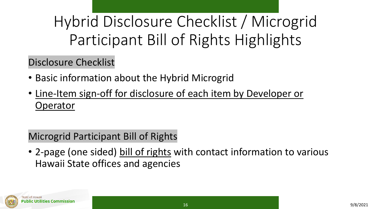Hybrid Disclosure Checklist / Microgrid Participant Bill of Rights Highlights

Disclosure Checklist

- Basic information about the Hybrid Microgrid
- Line-Item sign-off for disclosure of each item by Developer or **Operator**

### Microgrid Participant Bill of Rights

• 2-page (one sided) bill of rights with contact information to various Hawaii State offices and agencies

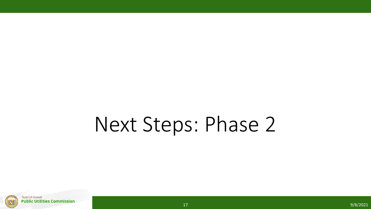# Next Steps: Phase 2

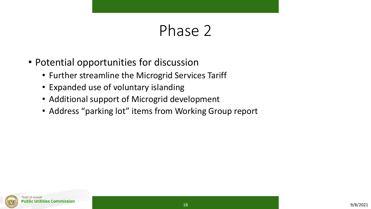## Phase 2

- Potential opportunities for discussion
	- Further streamline the Microgrid Services Tariff
	- Expanded use of voluntary islanding
	- Additional support of Microgrid development
	- Address "parking lot" items from Working Group report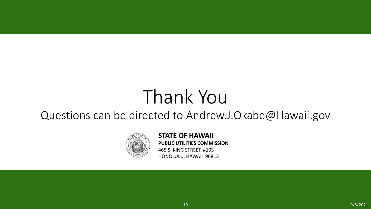# Thank You

### Questions can be directed to Andrew.J.Okabe@Hawaii.gov



**STATE OF HAWAII PUBLIC UTILITIES COMMISSION** 465 S. KING STREET, #103 HONOLULU, HAWAII 96813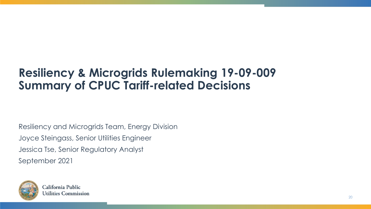### **Resiliency & Microgrids Rulemaking 19-09-009 Summary of CPUC Tariff-related Decisions**

Resiliency and Microgrids Team, Energy Division Joyce Steingass, Senior Utilities Engineer Jessica Tse, Senior Regulatory Analyst September 2021

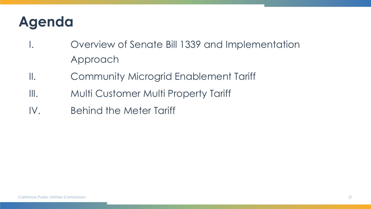## **Agenda**

- I. Overview of Senate Bill 1339 and Implementation Approach
- II. Community Microgrid Enablement Tariff
- III. Multi Customer Multi Property Tariff
- IV. Behind the Meter Tariff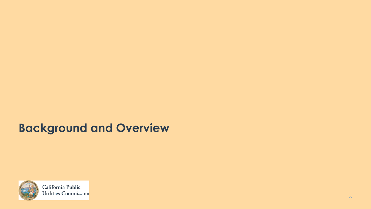### **Background and Overview**



California Public Utilities Commission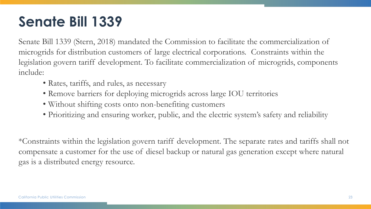### **Senate Bill 1339**

Senate Bill 1339 (Stern, 2018) mandated the Commission to facilitate the commercialization of microgrids for distribution customers of large electrical corporations. Constraints within the legislation govern tariff development. To facilitate commercialization of microgrids, components include:

- Rates, tariffs, and rules, as necessary
- Remove barriers for deploying microgrids across large IOU territories
- Without shifting costs onto non-benefiting customers
- Prioritizing and ensuring worker, public, and the electric system's safety and reliability

\*Constraints within the legislation govern tariff development. The separate rates and tariffs shall not compensate a customer for the use of diesel backup or natural gas generation except where natural gas is a distributed energy resource.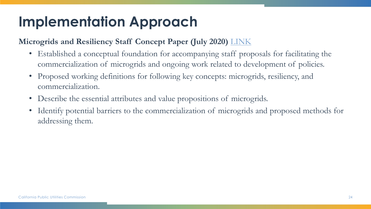## **Implementation Approach**

#### **Microgrids and Resiliency Staff Concept Paper (July 2020)** [LINK](https://docs.cpuc.ca.gov/PublishedDocs/Efile/G000/M344/K038/344038386.PDF)

- Established a conceptual foundation for accompanying staff proposals for facilitating the commercialization of microgrids and ongoing work related to development of policies.
- Proposed working definitions for following key concepts: microgrids, resiliency, and commercialization.
- Describe the essential attributes and value propositions of microgrids.
- Identify potential barriers to the commercialization of microgrids and proposed methods for addressing them.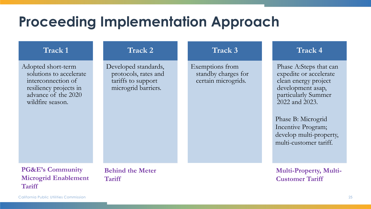### **Proceeding Implementation Approach**

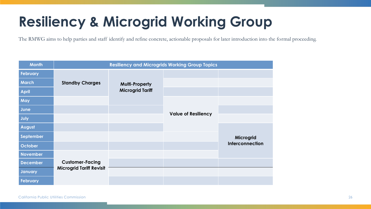## **Resiliency & Microgrid Working Group**

The RMWG aims to help parties and staff identify and refine concrete, actionable proposals for later introduction into the formal proceeding.

| <b>Month</b>    | <b>Resiliency and Microgrids Working Group Topics</b>     |                         |  |                 |
|-----------------|-----------------------------------------------------------|-------------------------|--|-----------------|
| <b>February</b> |                                                           |                         |  |                 |
| <b>March</b>    | <b>Standby Charges</b>                                    | <b>Multi-Property</b>   |  |                 |
| <b>April</b>    |                                                           | <b>Microgrid Tariff</b> |  |                 |
| May             |                                                           |                         |  |                 |
| June            | <b>Value of Resiliency</b>                                |                         |  |                 |
| July            |                                                           |                         |  |                 |
| August          |                                                           |                         |  |                 |
| September       |                                                           |                         |  | Microgrid       |
| October         |                                                           |                         |  | Interconnection |
| <b>November</b> | <b>Customer-Facing</b><br><b>Microgrid Tariff Revisit</b> |                         |  |                 |
| <b>December</b> |                                                           |                         |  |                 |
| <b>January</b>  |                                                           |                         |  |                 |
| <b>February</b> |                                                           |                         |  |                 |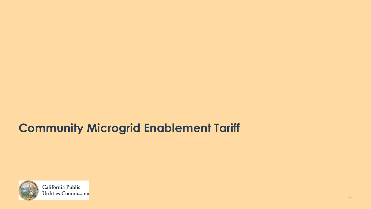### **Community Microgrid Enablement Tariff**



California Public Utilities Commission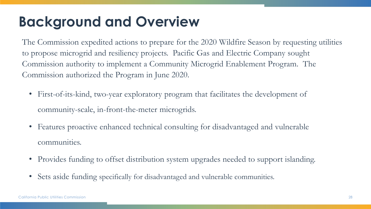### **Background and Overview**

The Commission expedited actions to prepare for the 2020 Wildfire Season by requesting utilities to propose microgrid and resiliency projects. Pacific Gas and Electric Company sought Commission authority to implement a Community Microgrid Enablement Program. The Commission authorized the Program in June 2020.

- First-of-its-kind, two-year exploratory program that facilitates the development of community-scale, in-front-the-meter microgrids.
- Features proactive enhanced technical consulting for disadvantaged and vulnerable communities.
- Provides funding to offset distribution system upgrades needed to support islanding.
- Sets aside funding specifically for disadvantaged and vulnerable communities.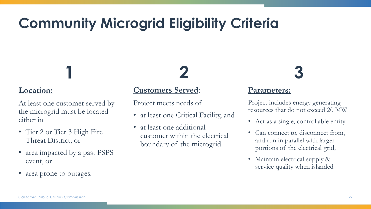## **Community Microgrid Eligibility Criteria**

#### **Location:**

At least one customer served by the microgrid must be located either in

**1**

- Tier 2 or Tier 3 High Fire Threat District; or
- area impacted by a past PSPS event, or
- area prone to outages.

#### **Customers Served**:

Project meets needs of

• at least one Critical Facility, and

**2**

• at least one additional customer within the electrical boundary of the microgrid.

# **3**

#### **Parameters:**

Project includes energy generating resources that do not exceed 20 MW

- Act as a single, controllable entity
- Can connect to, disconnect from, and run in parallel with larger portions of the electrical grid;
- Maintain electrical supply & service quality when islanded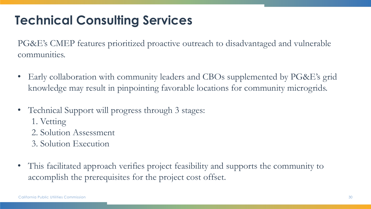### **Technical Consulting Services**

PG&E's CMEP features prioritized proactive outreach to disadvantaged and vulnerable communities.

- Early collaboration with community leaders and CBOs supplemented by PG&E's grid knowledge may result in pinpointing favorable locations for community microgrids.
- Technical Support will progress through 3 stages:
	- 1. Vetting
	- 2. Solution Assessment
	- 3. Solution Execution
- This facilitated approach verifies project feasibility and supports the community to accomplish the prerequisites for the project cost offset.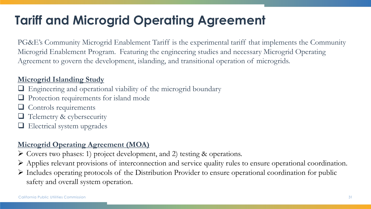### **Tariff and Microgrid Operating Agreement**

PG&E's Community Microgrid Enablement Tariff is the experimental tariff that implements the Community Microgrid Enablement Program. Featuring the engineering studies and necessary Microgrid Operating Agreement to govern the development, islanding, and transitional operation of microgrids.

#### **Microgrid Islanding Study**

- Engineering and operational viability of the microgrid boundary
- Protection requirements for island mode
- ❑ Controls requirements
- Telemetry & cybersecurity
- ❑ Electrical system upgrades

#### **Microgrid Operating Agreement (MOA)**

- ➢ Covers two phases: 1) project development, and 2) testing & operations.
- ➢ Applies relevant provisions of interconnection and service quality rules to ensure operational coordination.
- ➢ Includes operating protocols of the Distribution Provider to ensure operational coordination for public safety and overall system operation.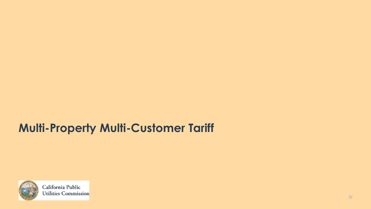### **Multi-Property Multi-Customer Tariff**



California Public Utilities Commission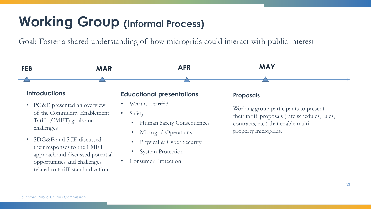### **Working Group (Informal Process)**

Goal: Foster a shared understanding of how microgrids could interact with public interest

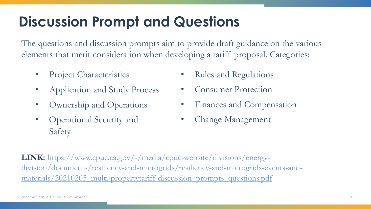### **Discussion Prompt and Questions**

The questions and discussion prompts aim to provide draft guidance on the various elements that merit consideration when developing a tariff proposal. Categories:

- Project Characteristics
- Application and Study Process
- Ownership and Operations
- Operational Security and Safety
- Rules and Regulations
- Consumer Protection
- Finances and Compensation
- Change Management

**LINK:** https://www.cpuc.ca.gov/-/media/cpuc-website/divisions/energy[division/documents/resiliency-and-microgrids/resiliency-and-microgrids-events-and](https://www.cpuc.ca.gov/-/media/cpuc-website/divisions/energy-division/documents/resiliency-and-microgrids/resiliency-and-microgrids-events-and-materials/20210205_multi-propertytariff-discussion_prompts_questions.pdf)materials/20210205\_multi-propertytariff-discussion\_prompts\_questions.pdf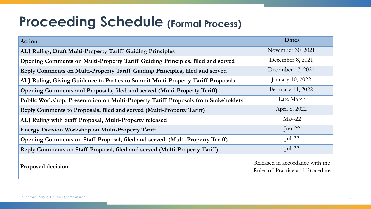### **Proceeding Schedule (Formal Process)**

| <b>Action</b>                                                                      | <b>Dates</b>                                                       |
|------------------------------------------------------------------------------------|--------------------------------------------------------------------|
| ALJ Ruling, Draft Multi-Property Tariff Guiding Principles                         | November 30, 2021                                                  |
| Opening Comments on Multi-Property Tariff Guiding Principles, filed and served     | December 8, 2021                                                   |
| Reply Comments on Multi-Property Tariff Guiding Principles, filed and served       | December 17, 2021                                                  |
| ALJ Ruling, Giving Guidance to Parties to Submit Multi-Property Tariff Proposals   | January 10, 2022                                                   |
| Opening Comments and Proposals, filed and served (Multi-Property Tariff)           | February 14, 2022                                                  |
| Public Workshop: Presentation on Multi-Property Tariff Proposals from Stakeholders | Late March                                                         |
| Reply Comments to Proposals, filed and served (Multi-Property Tariff)              | April 8, 2022                                                      |
| ALJ Ruling with Staff Proposal, Multi-Property released                            | $May-22$                                                           |
| <b>Energy Division Workshop on Multi-Property Tariff</b>                           | Jun-22                                                             |
| Opening Comments on Staff Proposal, filed and served (Multi-Property Tariff)       | Jul-22                                                             |
| Reply Comments on Staff Proposal, filed and served (Multi-Property Tariff)         | Jul-22                                                             |
| <b>Proposed decision</b>                                                           | Released in accordance with the<br>Rules of Practice and Procedure |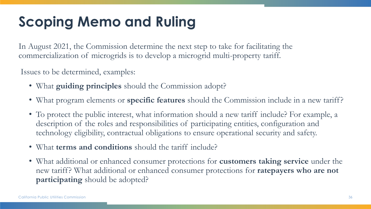## **Scoping Memo and Ruling**

In August 2021, the Commission determine the next step to take for facilitating the commercialization of microgrids is to develop a microgrid multi-property tariff.

Issues to be determined, examples:

- What **guiding principles** should the Commission adopt?
- What program elements or **specific features** should the Commission include in a new tariff?
- To protect the public interest, what information should a new tariff include? For example, a description of the roles and responsibilities of participating entities, configuration and technology eligibility, contractual obligations to ensure operational security and safety.
- What **terms and conditions** should the tariff include?
- What additional or enhanced consumer protections for **customers taking service** under the new tariff? What additional or enhanced consumer protections for **ratepayers who are not participating** should be adopted?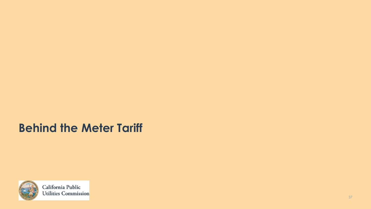### **Behind the Meter Tariff**



California Public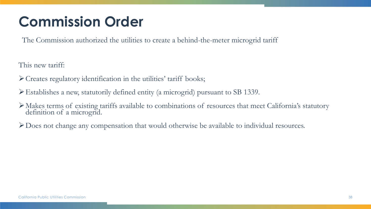## **Commission Order**

The Commission authorized the utilities to create a behind-the-meter microgrid tariff

This new tariff:

- ➢Creates regulatory identification in the utilities' tariff books;
- ➢Establishes a new, statutorily defined entity (a microgrid) pursuant to SB 1339.
- ➢Makes terms of existing tariffs available to combinations of resources that meet California's statutory definition of a microgrid.
- ➢Does not change any compensation that would otherwise be available to individual resources.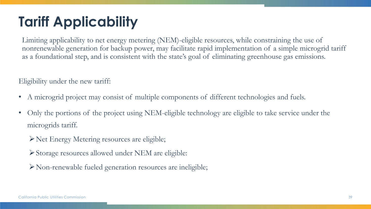## **Tariff Applicability**

Limiting applicability to net energy metering (NEM)-eligible resources, while constraining the use of nonrenewable generation for backup power, may facilitate rapid implementation of a simple microgrid tariff as a foundational step, and is consistent with the state's goal of eliminating greenhouse gas emissions.

Eligibility under the new tariff:

- A microgrid project may consist of multiple components of different technologies and fuels.
- Only the portions of the project using NEM-eligible technology are eligible to take service under the microgrids tariff.
	- ➢Net Energy Metering resources are eligible;
	- ➢Storage resources allowed under NEM are eligible:
	- ➢Non-renewable fueled generation resources are ineligible;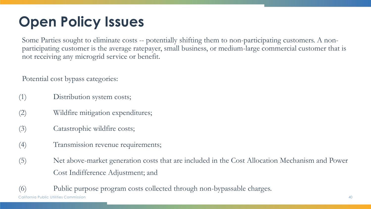## **Open Policy Issues**

Some Parties sought to eliminate costs -- potentially shifting them to non-participating customers. A nonparticipating customer is the average ratepayer, small business, or medium-large commercial customer that is not receiving any microgrid service or benefit.

Potential cost bypass categories:

- (1) Distribution system costs;
- (2) Wildfire mitigation expenditures;
- (3) Catastrophic wildfire costs;
- (4) Transmission revenue requirements;
- (5) Net above-market generation costs that are included in the Cost Allocation Mechanism and Power Cost Indifference Adjustment; and

California Public Utilities Commission (6) Public purpose program costs collected through non-bypassable charges.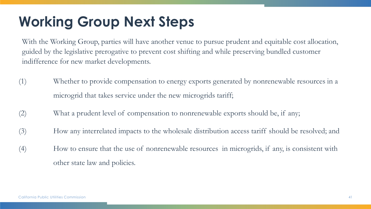## **Working Group Next Steps**

With the Working Group, parties will have another venue to pursue prudent and equitable cost allocation, guided by the legislative prerogative to prevent cost shifting and while preserving bundled customer indifference for new market developments.

- (1) Whether to provide compensation to energy exports generated by nonrenewable resources in a microgrid that takes service under the new microgrids tariff;
- (2) What a prudent level of compensation to nonrenewable exports should be, if any;
- (3) How any interrelated impacts to the wholesale distribution access tariff should be resolved; and
- (4) How to ensure that the use of nonrenewable resources in microgrids, if any, is consistent with other state law and policies.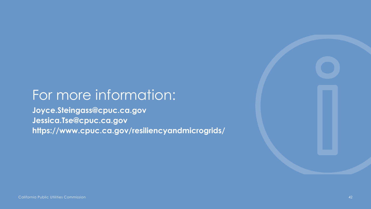### For more information:

**Joyce.Steingass@cpuc.ca.gov Jessica.Tse@cpuc.ca.gov https://www.cpuc.ca.gov/resiliencyandmicrogrids/**